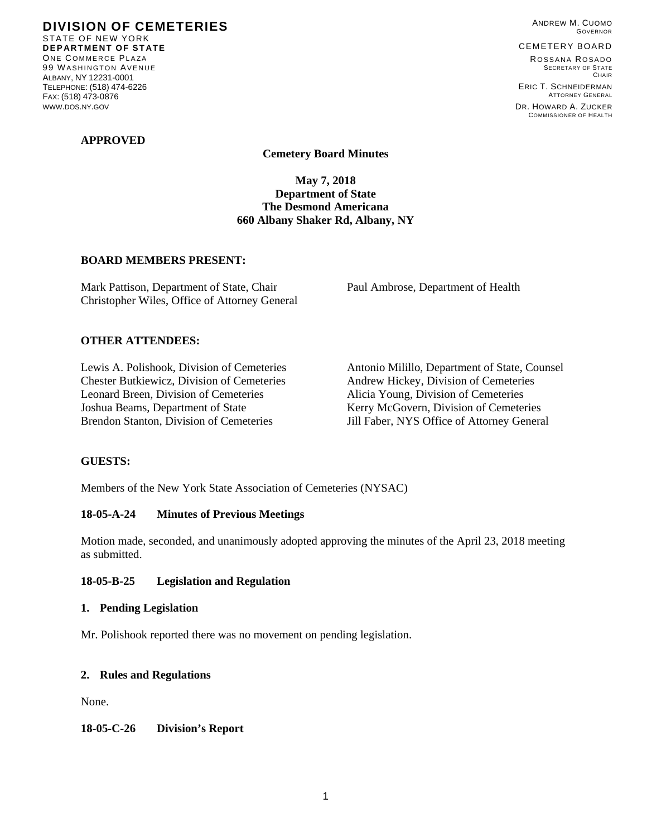**DIVISION OF CEMETERIES**  STATE OF NEW YORK **DEPARTMENT OF STATE**  ONE COMMERCE PLAZA 99 WASHINGTON AVENUE ALBANY, NY 12231-0001 TELEPHONE: (518) 474-6226 FAX: (518) 473-0876 WWW.DOS.NY.GOV

#### **APPROVED**

ANDREW M. CUOMO GOVERNOR

#### CEMETERY BOARD

ROSSANA ROSADO SECRETARY OF STATE **CHAIR** ERIC T. SCHNEIDERMAN ATTORNEY GENERAL

DR. HOWARD A. ZUCKER COMMISSIONER OF HEALTH

**Cemetery Board Minutes** 

**May 7, 2018 Department of State The Desmond Americana 660 Albany Shaker Rd, Albany, NY**

## **BOARD MEMBERS PRESENT:**

Mark Pattison, Department of State, Chair Paul Ambrose, Department of Health Christopher Wiles, Office of Attorney General

### **OTHER ATTENDEES:**

Lewis A. Polishook, Division of Cemeteries Antonio Milillo, Department of State, Counsel Chester Butkiewicz, Division of Cemeteries Andrew Hickey, Division of Cemeteries Leonard Breen, Division of Cemeteries Alicia Young, Division of Cemeteries Joshua Beams, Department of State Kerry McGovern, Division of Cemeteries Brendon Stanton, Division of Cemeteries Jill Faber, NYS Office of Attorney General

### **GUESTS:**

Members of the New York State Association of Cemeteries (NYSAC)

### **18-05-A-24 Minutes of Previous Meetings**

Motion made, seconded, and unanimously adopted approving the minutes of the April 23, 2018 meeting as submitted.

## **18-05-B-25 Legislation and Regulation**

#### **1. Pending Legislation**

Mr. Polishook reported there was no movement on pending legislation.

### **2. Rules and Regulations**

None.

#### **18-05-C-26 Division's Report**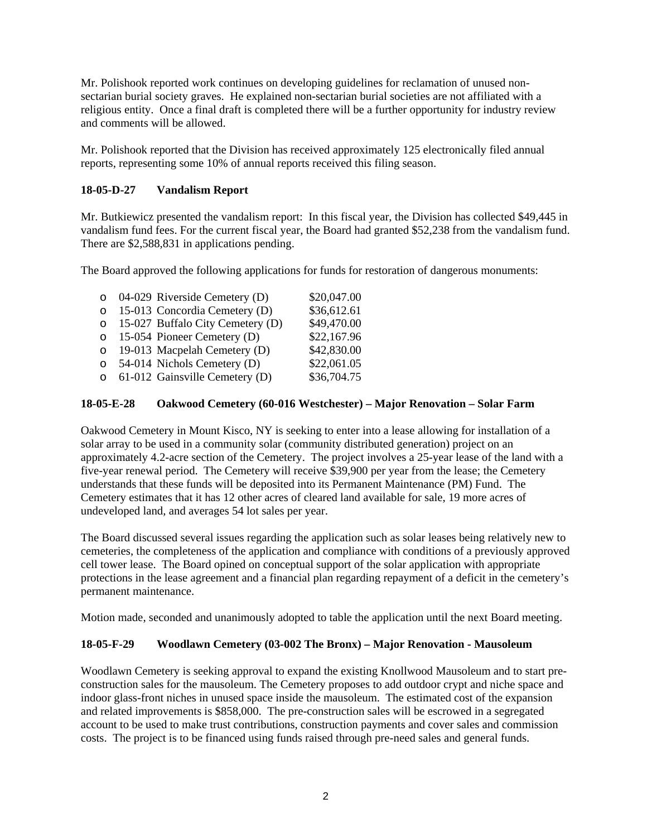Mr. Polishook reported work continues on developing guidelines for reclamation of unused nonsectarian burial society graves. He explained non-sectarian burial societies are not affiliated with a religious entity. Once a final draft is completed there will be a further opportunity for industry review and comments will be allowed.

Mr. Polishook reported that the Division has received approximately 125 electronically filed annual reports, representing some 10% of annual reports received this filing season.

# **18-05-D-27 Vandalism Report**

Mr. Butkiewicz presented the vandalism report: In this fiscal year, the Division has collected \$49,445 in vandalism fund fees. For the current fiscal year, the Board had granted \$52,238 from the vandalism fund. There are \$2,588,831 in applications pending.

The Board approved the following applications for funds for restoration of dangerous monuments:

| $\circ$  | 04-029 Riverside Cemetery (D)        | \$20,047.00 |
|----------|--------------------------------------|-------------|
| $\Omega$ | 15-013 Concordia Cemetery (D)        | \$36,612.61 |
| $\circ$  | 15-027 Buffalo City Cemetery (D)     | \$49,470.00 |
|          | o 15-054 Pioneer Cemetery (D)        | \$22,167.96 |
|          | $\circ$ 19-013 Macpelah Cemetery (D) | \$42,830.00 |
| $\circ$  | 54-014 Nichols Cemetery (D)          | \$22,061.05 |
| $\Omega$ | 61-012 Gainsville Cemetery (D)       | \$36,704.75 |
|          |                                      |             |

# **18-05-E-28 Oakwood Cemetery (60-016 Westchester) – Major Renovation – Solar Farm**

Oakwood Cemetery in Mount Kisco, NY is seeking to enter into a lease allowing for installation of a solar array to be used in a community solar (community distributed generation) project on an approximately 4.2-acre section of the Cemetery. The project involves a 25-year lease of the land with a five-year renewal period. The Cemetery will receive \$39,900 per year from the lease; the Cemetery understands that these funds will be deposited into its Permanent Maintenance (PM) Fund. The Cemetery estimates that it has 12 other acres of cleared land available for sale, 19 more acres of undeveloped land, and averages 54 lot sales per year.

The Board discussed several issues regarding the application such as solar leases being relatively new to cemeteries, the completeness of the application and compliance with conditions of a previously approved cell tower lease. The Board opined on conceptual support of the solar application with appropriate protections in the lease agreement and a financial plan regarding repayment of a deficit in the cemetery's permanent maintenance.

Motion made, seconded and unanimously adopted to table the application until the next Board meeting.

# **18-05-F-29 Woodlawn Cemetery (03-002 The Bronx) – Major Renovation - Mausoleum**

Woodlawn Cemetery is seeking approval to expand the existing Knollwood Mausoleum and to start preconstruction sales for the mausoleum. The Cemetery proposes to add outdoor crypt and niche space and indoor glass-front niches in unused space inside the mausoleum. The estimated cost of the expansion and related improvements is \$858,000. The pre-construction sales will be escrowed in a segregated account to be used to make trust contributions, construction payments and cover sales and commission costs. The project is to be financed using funds raised through pre-need sales and general funds.